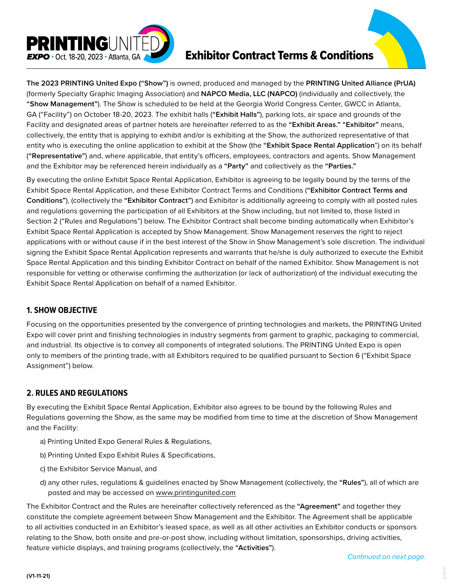

# Exhibitor Contract Terms & Conditions

**The 2023 PRINTING United Expo ("Show")** is owned, produced and managed by the **PRINTING United Alliance (PrUA)** (formerly Specialty Graphic Imaging Association) and **NAPCO Media, LLC (NAPCO)** (individually and collectively, the **"Show Management"**). The Show is scheduled to be held at the Georgia World Congress Center, GWCC in Atlanta, GA ("Facility") on October 18-20, 2023. The exhibit halls (**"Exhibit Halls"**), parking lots, air space and grounds of the Facility and designated areas of partner hotels are hereinafter referred to as the **"Exhibit Areas." "Exhibitor"** means, collectively, the entity that is applying to exhibit and/or is exhibiting at the Show, the authorized representative of that entity who is executing the online application to exhibit at the Show (the **"Exhibit Space Rental Application**") on its behalf (**"Representative"**) and, where applicable, that entity's officers, employees, contractors and agents. Show Management and the Exhibitor may be referenced herein individually as a **"Party"** and collectively as the **"Parties."**

By executing the online Exhibit Space Rental Application, Exhibitor is agreeing to be legally bound by the terms of the Exhibit Space Rental Application, and these Exhibitor Contract Terms and Conditions (**"Exhibitor Contract Terms and Conditions"**), (collectively the **"Exhibitor Contract"**) and Exhibitor is additionally agreeing to comply with all posted rules and regulations governing the participation of all Exhibitors at the Show including, but not limited to, those listed in Section 2 ("Rules and Regulations") below. The Exhibitor Contract shall become binding automatically when Exhibitor's Exhibit Space Rental Application is accepted by Show Management. Show Management reserves the right to reject applications with or without cause if in the best interest of the Show in Show Management's sole discretion. The individual signing the Exhibit Space Rental Application represents and warrants that he/she is duly authorized to execute the Exhibit Space Rental Application and this binding Exhibitor Contract on behalf of the named Exhibitor. Show Management is not responsible for vetting or otherwise confirming the authorization (or lack of authorization) of the individual executing the Exhibit Space Rental Application on behalf of a named Exhibitor.

## **1. SHOW OBJECTIVE**

Focusing on the opportunities presented by the convergence of printing technologies and markets, the PRINTING United Expo will cover print and finishing technologies in industry segments from garment to graphic, packaging to commercial, and industrial. Its objective is to convey all components of integrated solutions. The PRINTING United Expo is open only to members of the printing trade, with all Exhibitors required to be qualified pursuant to Section 6 ("Exhibit Space Assignment") below.

# **2. RULES AND REGULATIONS**

By executing the Exhibit Space Rental Application, Exhibitor also agrees to be bound by the following Rules and Regulations governing the Show, as the same may be modified from time to time at the discretion of Show Management and the Facility:

- a) Printing United Expo General Rules & Regulations,
- b) Printing United Expo Exhibit Rules & Specifications,
- c) the Exhibitor Service Manual, and
- d) any other rules, regulations & guidelines enacted by Show Management (collectively, the **"Rules"**), all of which are posted and may be accessed on www.printingunited.com

The Exhibitor Contract and the Rules are hereinafter collectively referenced as the **"Agreement"** and together they constitute the complete agreement between Show Management and the Exhibitor. The Agreement shall be applicable to all activities conducted in an Exhibitor's leased space, as well as all other activities an Exhibitor conducts or sponsors relating to the Show, both onsite and pre-or-post show, including without limitation, sponsorships, driving activities, feature vehicle displays, and training programs (collectively, the **"Activities"**).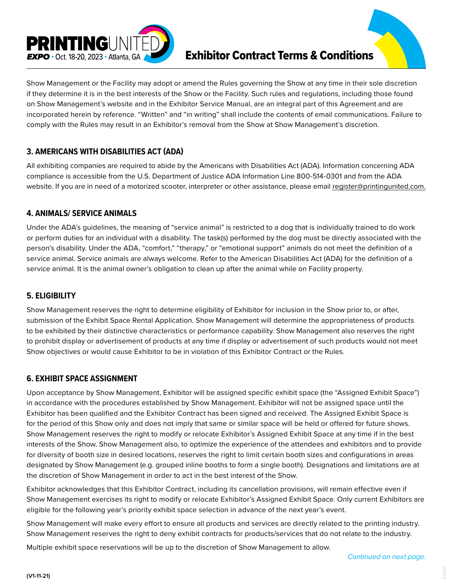

Show Management or the Facility may adopt or amend the Rules governing the Show at any time in their sole discretion if they determine it is in the best interests of the Show or the Facility. Such rules and regulations, including those found on Show Management's website and in the Exhibitor Service Manual, are an integral part of this Agreement and are incorporated herein by reference. "Written" and "in writing" shall include the contents of email communications. Failure to comply with the Rules may result in an Exhibitor's removal from the Show at Show Management's discretion.

# **3. AMERICANS WITH DISABILITIES ACT (ADA)**

All exhibiting companies are required to abide by the Americans with Disabilities Act (ADA). Information concerning ADA compliance is accessible from the U.S. Department of Justice ADA Information Line 800-514-0301 and from the ADA website. If you are in need of a motorized scooter, interpreter or other assistance, please email register@printingunited.com.

# **4. ANIMALS/ SERVICE ANIMALS**

Under the ADA's guidelines, the meaning of "service animal" is restricted to a dog that is individually trained to do work or perform duties for an individual with a disability. The task(s) performed by the dog must be directly associated with the person's disability. Under the ADA, "comfort," "therapy," or "emotional support" animals do not meet the definition of a service animal. Service animals are always welcome. Refer to the American Disabilities Act (ADA) for the definition of a service animal. It is the animal owner's obligation to clean up after the animal while on Facility property.

# **5. ELIGIBILITY**

Show Management reserves the right to determine eligibility of Exhibitor for inclusion in the Show prior to, or after, submission of the Exhibit Space Rental Application. Show Management will determine the appropriateness of products to be exhibited by their distinctive characteristics or performance capability. Show Management also reserves the right to prohibit display or advertisement of products at any time if display or advertisement of such products would not meet Show objectives or would cause Exhibitor to be in violation of this Exhibitor Contract or the Rules.

# **6. EXHIBIT SPACE ASSIGNMENT**

Upon acceptance by Show Management, Exhibitor will be assigned specific exhibit space (the "Assigned Exhibit Space") in accordance with the procedures established by Show Management. Exhibitor will not be assigned space until the Exhibitor has been qualified and the Exhibitor Contract has been signed and received. The Assigned Exhibit Space is for the period of this Show only and does not imply that same or similar space will be held or offered for future shows. Show Management reserves the right to modify or relocate Exhibitor's Assigned Exhibit Space at any time if in the best interests of the Show. Show Management also, to optimize the experience of the attendees and exhibitors and to provide for diversity of booth size in desired locations, reserves the right to limit certain booth sizes and configurations in areas designated by Show Management (e.g. grouped inline booths to form a single booth). Designations and limitations are at the discretion of Show Management in order to act in the best interest of the Show.

Exhibitor acknowledges that this Exhibitor Contract, including its cancellation provisions, will remain effective even if Show Management exercises its right to modify or relocate Exhibitor's Assigned Exhibit Space. Only current Exhibitors are eligible for the following year's priority exhibit space selection in advance of the next year's event.

Show Management will make every effort to ensure all products and services are directly related to the printing industry. Show Management reserves the right to deny exhibit contracts for products/services that do not relate to the industry.

Multiple exhibit space reservations will be up to the discretion of Show Management to allow.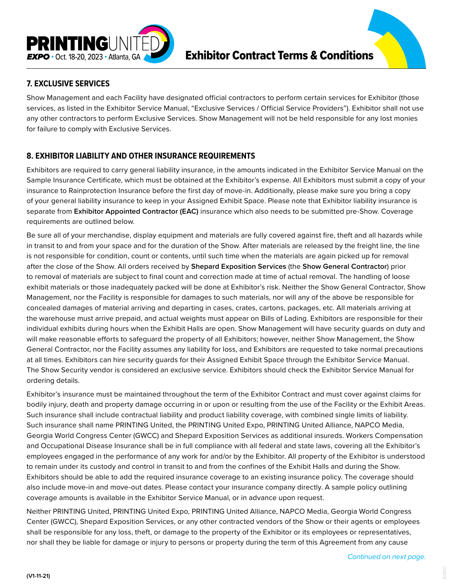

# **7. EXCLUSIVE SERVICES**

Show Management and each Facility have designated official contractors to perform certain services for Exhibitor (those services, as listed in the Exhibitor Service Manual, "Exclusive Services / Official Service Providers"). Exhibitor shall not use any other contractors to perform Exclusive Services. Show Management will not be held responsible for any lost monies for failure to comply with Exclusive Services.

# **8. EXHIBITOR LIABILITY AND OTHER INSURANCE REQUIREMENTS**

Exhibitors are required to carry general liability insurance, in the amounts indicated in the Exhibitor Service Manual on the Sample Insurance Certificate, which must be obtained at the Exhibitor's expense. All Exhibitors must submit a copy of your insurance to Rainprotection Insurance before the first day of move-in. Additionally, please make sure you bring a copy of your general liability insurance to keep in your Assigned Exhibit Space. Please note that Exhibitor liability insurance is separate from **Exhibitor Appointed Contractor (EAC)** insurance which also needs to be submitted pre-Show. Coverage requirements are outlined below.

Be sure all of your merchandise, display equipment and materials are fully covered against fire, theft and all hazards while in transit to and from your space and for the duration of the Show. After materials are released by the freight line, the line is not responsible for condition, count or contents, until such time when the materials are again picked up for removal after the close of the Show. All orders received by **Shepard Exposition Services** (the **Show General Contractor**) prior to removal of materials are subject to final count and correction made at time of actual removal. The handling of loose exhibit materials or those inadequately packed will be done at Exhibitor's risk. Neither the Show General Contractor, Show Management, nor the Facility is responsible for damages to such materials, nor will any of the above be responsible for concealed damages of material arriving and departing in cases, crates, cartons, packages, etc. All materials arriving at the warehouse must arrive prepaid, and actual weights must appear on Bills of Lading. Exhibitors are responsible for their individual exhibits during hours when the Exhibit Halls are open. Show Management will have security guards on duty and will make reasonable efforts to safeguard the property of all Exhibitors; however, neither Show Management, the Show General Contractor, nor the Facility assumes any liability for loss, and Exhibitors are requested to take normal precautions at all times. Exhibitors can hire security guards for their Assigned Exhibit Space through the Exhibitor Service Manual. The Show Security vendor is considered an exclusive service. Exhibitors should check the Exhibitor Service Manual for ordering details.

Exhibitor's insurance must be maintained throughout the term of the Exhibitor Contract and must cover against claims for bodily injury, death and property damage occurring in or upon or resulting from the use of the Facility or the Exhibit Areas. Such insurance shall include contractual liability and product liability coverage, with combined single limits of liability. Such insurance shall name PRINTING United, the PRINTING United Expo, PRINTING United Alliance, NAPCO Media, Georgia World Congress Center (GWCC) and Shepard Exposition Services as additional insureds. Workers Compensation and Occupational Disease Insurance shall be in full compliance with all federal and state laws, covering all the Exhibitor's employees engaged in the performance of any work for and/or by the Exhibitor. All property of the Exhibitor is understood to remain under its custody and control in transit to and from the confines of the Exhibit Halls and during the Show. Exhibitors should be able to add the required insurance coverage to an existing insurance policy. The coverage should also include move-in and move-out dates. Please contact your insurance company directly. A sample policy outlining coverage amounts is available in the Exhibitor Service Manual, or in advance upon request.

Neither PRINTING United, PRINTING United Expo, PRINTING United Alliance, NAPCO Media, Georgia World Congress Center (GWCC), Shepard Exposition Services, or any other contracted vendors of the Show or their agents or employees shall be responsible for any loss, theft, or damage to the property of the Exhibitor or its employees or representatives, nor shall they be liable for damage or injury to persons or property during the term of this Agreement from any cause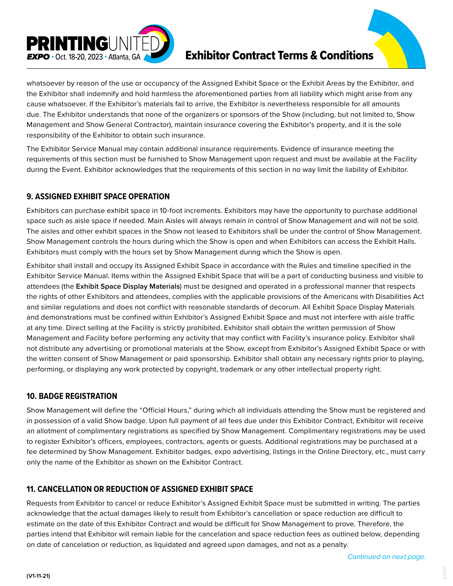

# Exhibitor Contract Terms & Conditions

whatsoever by reason of the use or occupancy of the Assigned Exhibit Space or the Exhibit Areas by the Exhibitor, and the Exhibitor shall indemnify and hold harmless the aforementioned parties from all liability which might arise from any cause whatsoever. If the Exhibitor's materials fail to arrive, the Exhibitor is nevertheless responsible for all amounts due. The Exhibitor understands that none of the organizers or sponsors of the Show (including, but not limited to, Show Management and Show General Contractor), maintain insurance covering the Exhibitor's property, and it is the sole responsibility of the Exhibitor to obtain such insurance.

The Exhibitor Service Manual may contain additional insurance requirements. Evidence of insurance meeting the requirements of this section must be furnished to Show Management upon request and must be available at the Facility durIng the Event. Exhibitor acknowledges that the requirements of this section in no way limit the liability of Exhibitor.

# **9. ASSIGNED EXHIBIT SPACE OPERATION**

Exhibitors can purchase exhibit space in 10-foot increments. Exhibitors may have the opportunity to purchase additional space such as aisle space if needed. Main Aisles will always remain in control of Show Management and will not be sold. The aisles and other exhibit spaces in the Show not leased to Exhibitors shall be under the control of Show Management. Show Management controls the hours during which the Show is open and when Exhibitors can access the Exhibit Halls. Exhibitors must comply with the hours set by Show Management during which the Show is open.

Exhibitor shall install and occupy its Assigned Exhibit Space in accordance with the Rules and timeline specified in the Exhibitor Service Manual. Items within the Assigned Exhibit Space that will be a part of conducting business and visible to attendees (the **Exhibit Space Display Materials**) must be designed and operated in a professional manner that respects the rights of other Exhibitors and attendees, complies with the applicable provisions of the Americans with Disabilities Act and similar regulations and does not conflict with reasonable standards of decorum. All Exhibit Space Display Materials and demonstrations must be confined within Exhibitor's Assigned Exhibit Space and must not interfere with aisle traffic at any time. Direct selling at the Facility is strictly prohibited. Exhibitor shall obtain the written permission of Show Management and Facility before performing any activity that may conflict with Facility's insurance policy. Exhibitor shall not distribute any advertising or promotional materials at the Show, except from Exhibitor's Assigned Exhibit Space or with the written consent of Show Management or paid sponsorship. Exhibitor shall obtain any necessary rights prior to playing, performing, or displaying any work protected by copyright, trademark or any other intellectual property right.

# **10. BADGE REGISTRATION**

Show Management will define the "Official Hours," during which all individuals attending the Show must be registered and in possession of a valid Show badge. Upon full payment of all fees due under this Exhibitor Contract, Exhibitor will receive an allotment of complimentary registrations as specified by Show Management. Complimentary registrations may be used to register Exhibitor's officers, employees, contractors, agents or guests. Additional registrations may be purchased at a fee determined by Show Management. Exhibitor badges, expo advertising, listings in the Online Directory, etc., must carry only the name of the Exhibitor as shown on the Exhibitor Contract.

# **11. CANCELLATION OR REDUCTION OF ASSIGNED EXHIBIT SPACE**

Requests from Exhibitor to cancel or reduce Exhibitor's Assigned Exhibit Space must be submitted in writing. The parties acknowledge that the actual damages likely to result from Exhibitor's cancellation or space reduction are difficult to estimate on the date of this Exhibitor Contract and would be difficult for Show Management to prove. Therefore, the parties intend that Exhibitor will remain liable for the cancelation and space reduction fees as outlined below, depending on date of cancelation or reduction, as liquidated and agreed upon damages, and not as a penalty.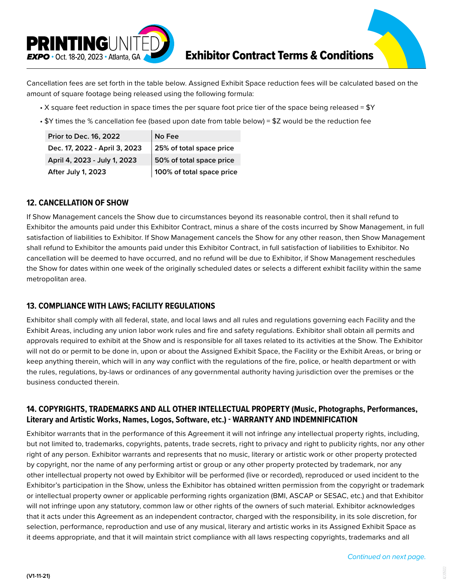

Cancellation fees are set forth in the table below. Assigned Exhibit Space reduction fees will be calculated based on the amount of square footage being released using the following formula:

- X square feet reduction in space times the per square foot price tier of the space being released =  $Y$
- \$Y times the % cancellation fee (based upon date from table below) = \$Z would be the reduction fee

| Prior to Dec. 16, 2022        | No Fee                    |
|-------------------------------|---------------------------|
| Dec. 17, 2022 - April 3, 2023 | 25% of total space price  |
| April 4, 2023 - July 1, 2023  | 50% of total space price  |
| After July 1, 2023            | 100% of total space price |

## **12. CANCELLATION OF SHOW**

If Show Management cancels the Show due to circumstances beyond its reasonable control, then it shall refund to Exhibitor the amounts paid under this Exhibitor Contract, minus a share of the costs incurred by Show Management, in full satisfaction of liabilities to Exhibitor. If Show Management cancels the Show for any other reason, then Show Management shall refund to Exhibitor the amounts paid under this Exhibitor Contract, in full satisfaction of liabilities to Exhibitor. No cancellation will be deemed to have occurred, and no refund will be due to Exhibitor, if Show Management reschedules the Show for dates within one week of the originally scheduled dates or selects a different exhibit facility within the same metropolitan area.

## **13. COMPLIANCE WITH LAWS; FACILITY REGULATIONS**

Exhibitor shall comply with all federal, state, and local laws and all rules and regulations governing each Facility and the Exhibit Areas, including any union labor work rules and fire and safety regulations. Exhibitor shall obtain all permits and approvals required to exhibit at the Show and is responsible for all taxes related to its activities at the Show. The Exhibitor will not do or permit to be done in, upon or about the Assigned Exhibit Space, the Facility or the Exhibit Areas, or bring or keep anything therein, which will in any way conflict with the regulations of the fire, police, or health department or with the rules, regulations, by-laws or ordinances of any governmental authority having jurisdiction over the premises or the business conducted therein.

## **14. COPYRIGHTS, TRADEMARKS AND ALL OTHER INTELLECTUAL PROPERTY (Music, Photographs, Performances, Literary and Artistic Works, Names, Logos, Software, etc.) - WARRANTY AND INDEMNIFICATION**

Exhibitor warrants that in the performance of this Agreement it will not infringe any intellectual property rights, including, but not limited to, trademarks, copyrights, patents, trade secrets, right to privacy and right to publicity rights, nor any other right of any person. Exhibitor warrants and represents that no music, literary or artistic work or other property protected by copyright, nor the name of any performing artist or group or any other property protected by trademark, nor any other intellectual property not owed by Exhibitor will be performed (live or recorded), reproduced or used incident to the Exhibitor's participation in the Show, unless the Exhibitor has obtained written permission from the copyright or trademark or intellectual property owner or applicable performing rights organization (BMI, ASCAP or SESAC, etc.) and that Exhibitor will not infringe upon any statutory, common law or other rights of the owners of such material. Exhibitor acknowledges that it acts under this Agreement as an independent contractor, charged with the responsibility, in its sole discretion, for selection, performance, reproduction and use of any musical, literary and artistic works in its Assigned Exhibit Space as it deems appropriate, and that it will maintain strict compliance with all laws respecting copyrights, trademarks and all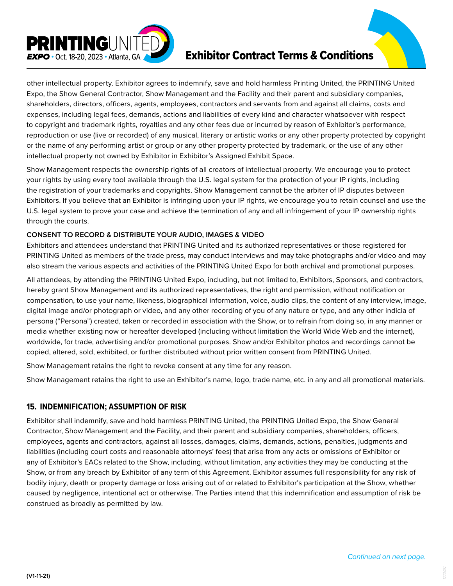

# Exhibitor Contract Terms & Conditions

other intellectual property. Exhibitor agrees to indemnify, save and hold harmless Printing United, the PRINTING United Expo, the Show General Contractor, Show Management and the Facility and their parent and subsidiary companies, shareholders, directors, officers, agents, employees, contractors and servants from and against all claims, costs and expenses, including legal fees, demands, actions and liabilities of every kind and character whatsoever with respect to copyright and trademark rights, royalties and any other fees due or incurred by reason of Exhibitor's performance, reproduction or use (live or recorded) of any musical, literary or artistic works or any other property protected by copyright or the name of any performing artist or group or any other property protected by trademark, or the use of any other intellectual property not owned by Exhibitor in Exhibitor's Assigned Exhibit Space.

Show Management respects the ownership rights of all creators of intellectual property. We encourage you to protect your rights by using every tool available through the U.S. legal system for the protection of your IP rights, including the registration of your trademarks and copyrights. Show Management cannot be the arbiter of IP disputes between Exhibitors. If you believe that an Exhibitor is infringing upon your IP rights, we encourage you to retain counsel and use the U.S. legal system to prove your case and achieve the termination of any and all infringement of your IP ownership rights through the courts.

#### **CONSENT TO RECORD & DISTRIBUTE YOUR AUDIO, IMAGES & VIDEO**

Exhibitors and attendees understand that PRINTING United and its authorized representatives or those registered for PRINTING United as members of the trade press, may conduct interviews and may take photographs and/or video and may also stream the various aspects and activities of the PRINTING United Expo for both archival and promotional purposes.

All attendees, by attending the PRINTING United Expo, including, but not limited to, Exhibitors, Sponsors, and contractors, hereby grant Show Management and its authorized representatives, the right and permission, without notification or compensation, to use your name, likeness, biographical information, voice, audio clips, the content of any interview, image, digital image and/or photograph or video, and any other recording of you of any nature or type, and any other indicia of persona ("Persona") created, taken or recorded in association with the Show, or to refrain from doing so, in any manner or media whether existing now or hereafter developed (including without limitation the World Wide Web and the internet), worldwide, for trade, advertising and/or promotional purposes. Show and/or Exhibitor photos and recordings cannot be copied, altered, sold, exhibited, or further distributed without prior written consent from PRINTING United.

Show Management retains the right to revoke consent at any time for any reason.

Show Management retains the right to use an Exhibitor's name, logo, trade name, etc. in any and all promotional materials.

### **15. INDEMNIFICATION; ASSUMPTION OF RISK**

Exhibitor shall indemnify, save and hold harmless PRINTING United, the PRINTING United Expo, the Show General Contractor, Show Management and the Facility, and their parent and subsidiary companies, shareholders, officers, employees, agents and contractors, against all losses, damages, claims, demands, actions, penalties, judgments and liabilities (including court costs and reasonable attorneys' fees) that arise from any acts or omissions of Exhibitor or any of Exhibitor's EACs related to the Show, including, without limitation, any activities they may be conducting at the Show, or from any breach by Exhibitor of any term of this Agreement. Exhibitor assumes full responsibility for any risk of bodily injury, death or property damage or loss arising out of or related to Exhibitor's participation at the Show, whether caused by negligence, intentional act or otherwise. The Parties intend that this indemnification and assumption of risk be construed as broadly as permitted by law.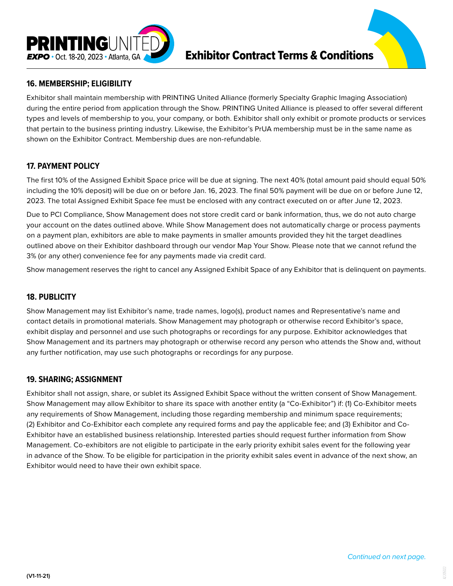

## **16. MEMBERSHIP; ELIGIBILITY**

Exhibitor shall maintain membership with PRINTING United Alliance (formerly Specialty Graphic Imaging Association) during the entire period from application through the Show. PRINTING United Alliance is pleased to offer several different types and levels of membership to you, your company, or both. Exhibitor shall only exhibit or promote products or services that pertain to the business printing industry. Likewise, the Exhibitor's PrUA membership must be in the same name as shown on the Exhibitor Contract. Membership dues are non-refundable.

## **17. PAYMENT POLICY**

The first 10% of the Assigned Exhibit Space price will be due at signing. The next 40% (total amount paid should equal 50% including the 10% deposit) will be due on or before Jan. 16, 2023. The final 50% payment will be due on or before June 12, 2023. The total Assigned Exhibit Space fee must be enclosed with any contract executed on or after June 12, 2023.

Due to PCI Compliance, Show Management does not store credit card or bank information, thus, we do not auto charge your account on the dates outlined above. While Show Management does not automatically charge or process payments on a payment plan, exhibitors are able to make payments in smaller amounts provided they hit the target deadlines outlined above on their Exhibitor dashboard through our vendor Map Your Show. Please note that we cannot refund the 3% (or any other) convenience fee for any payments made via credit card.

Show management reserves the right to cancel any Assigned Exhibit Space of any Exhibitor that is delinquent on payments.

### **18. PUBLICITY**

Show Management may list Exhibitor's name, trade names, logo(s), product names and Representative's name and contact details in promotional materials. Show Management may photograph or otherwise record Exhibitor's space, exhibit display and personnel and use such photographs or recordings for any purpose. Exhibitor acknowledges that Show Management and its partners may photograph or otherwise record any person who attends the Show and, without any further notification, may use such photographs or recordings for any purpose.

#### **19. SHARING; ASSIGNMENT**

Exhibitor shall not assign, share, or sublet its Assigned Exhibit Space without the written consent of Show Management. Show Management may allow Exhibitor to share its space with another entity (a "Co-Exhibitor") if: (1) Co-Exhibitor meets any requirements of Show Management, including those regarding membership and minimum space requirements; (2) Exhibitor and Co-Exhibitor each complete any required forms and pay the applicable fee; and (3) Exhibitor and Co-Exhibitor have an established business relationship. Interested parties should request further information from Show Management. Co-exhibitors are not eligible to participate in the early priority exhibit sales event for the following year in advance of the Show. To be eligible for participation in the priority exhibit sales event in advance of the next show, an Exhibitor would need to have their own exhibit space.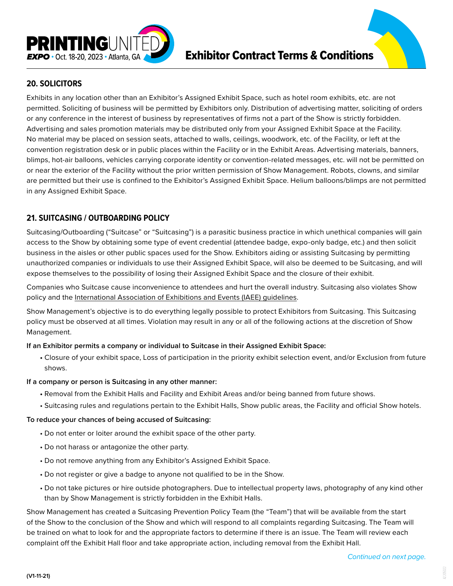

## **20. SOLICITORS**

Exhibits in any location other than an Exhibitor's Assigned Exhibit Space, such as hotel room exhibits, etc. are not permitted. Soliciting of business will be permitted by Exhibitors only. Distribution of advertising matter, soliciting of orders or any conference in the interest of business by representatives of firms not a part of the Show is strictly forbidden. Advertising and sales promotion materials may be distributed only from your Assigned Exhibit Space at the Facility. No material may be placed on session seats, attached to walls, ceilings, woodwork, etc. of the Facility, or left at the convention registration desk or in public places within the Facility or in the Exhibit Areas. Advertising materials, banners, blimps, hot-air balloons, vehicles carrying corporate identity or convention-related messages, etc. will not be permitted on or near the exterior of the Facility without the prior written permission of Show Management. Robots, clowns, and similar are permitted but their use is confined to the Exhibitor's Assigned Exhibit Space. Helium balloons/blimps are not permitted in any Assigned Exhibit Space.

## **21. SUITCASING / OUTBOARDING POLICY**

Suitcasing/Outboarding ("Suitcase" or "Suitcasing") is a parasitic business practice in which unethical companies will gain access to the Show by obtaining some type of event credential (attendee badge, expo-only badge, etc.) and then solicit business in the aisles or other public spaces used for the Show. Exhibitors aiding or assisting Suitcasing by permitting unauthorized companies or individuals to use their Assigned Exhibit Space, will also be deemed to be Suitcasing, and will expose themselves to the possibility of losing their Assigned Exhibit Space and the closure of their exhibit.

Companies who Suitcase cause inconvenience to attendees and hurt the overall industry. Suitcasing also violates Show policy and the [International Association of Exhibitions and Events \(IAEE\) guidelines](https://www.iaee.com/wp-content/uploads/2018/06/Outboarding-Policy-Statement.pdf).

Show Management's objective is to do everything legally possible to protect Exhibitors from Suitcasing. This Suitcasing policy must be observed at all times. Violation may result in any or all of the following actions at the discretion of Show Management.

#### **If an Exhibitor permits a company or individual to Suitcase in their Assigned Exhibit Space:**

**•** Closure of your exhibit space, Loss of participation in the priority exhibit selection event, and/or Exclusion from future shows.

#### **If a company or person is Suitcasing in any other manner:**

- Removal from the Exhibit Halls and Facility and Exhibit Areas and/or being banned from future shows.
- Suitcasing rules and regulations pertain to the Exhibit Halls, Show public areas, the Facility and official Show hotels.

#### **To reduce your chances of being accused of Suitcasing:**

- Do not enter or loiter around the exhibit space of the other party.
- Do not harass or antagonize the other party.
- Do not remove anything from any Exhibitor's Assigned Exhibit Space.
- Do not register or give a badge to anyone not qualified to be in the Show.
- Do not take pictures or hire outside photographers. Due to intellectual property laws, photography of any kind other than by Show Management is strictly forbidden in the Exhibit Halls.

Show Management has created a Suitcasing Prevention Policy Team (the "Team") that will be available from the start of the Show to the conclusion of the Show and which will respond to all complaints regarding Suitcasing. The Team will be trained on what to look for and the appropriate factors to determine if there is an issue. The Team will review each complaint off the Exhibit Hall floor and take appropriate action, including removal from the Exhibit Hall.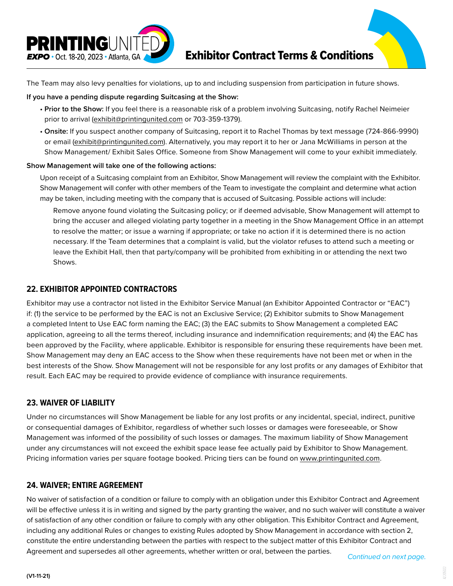

The Team may also levy penalties for violations, up to and including suspension from participation in future shows.

#### **If you have a pending dispute regarding Suitcasing at the Show:**

- **Prior to the Show:** If you feel there is a reasonable risk of a problem involving Suitcasing, notify Rachel Neimeier prior to arrival (exhibit@printingunited.com or 703-359-1379).
- **Onsite:** If you suspect another company of Suitcasing, report it to Rachel Thomas by text message (724-866-9990) or email (exhibit@printingunited.com). Alternatively, you may report it to her or Jana McWilliams in person at the Show Management/ Exhibit Sales Office. Someone from Show Management will come to your exhibit immediately.

#### **Show Management will take one of the following actions:**

 Upon receipt of a Suitcasing complaint from an Exhibitor, Show Management will review the complaint with the Exhibitor. Show Management will confer with other members of the Team to investigate the complaint and determine what action may be taken, including meeting with the company that is accused of Suitcasing. Possible actions will include:

 Remove anyone found violating the Suitcasing policy; or if deemed advisable, Show Management will attempt to bring the accuser and alleged violating party together in a meeting in the Show Management Office in an attempt to resolve the matter; or issue a warning if appropriate; or take no action if it is determined there is no action necessary. If the Team determines that a complaint is valid, but the violator refuses to attend such a meeting or leave the Exhibit Hall, then that party/company will be prohibited from exhibiting in or attending the next two Shows.

### **22. EXHIBITOR APPOINTED CONTRACTORS**

Exhibitor may use a contractor not listed in the Exhibitor Service Manual (an Exhibitor Appointed Contractor or "EAC") if: (1) the service to be performed by the EAC is not an Exclusive Service; (2) Exhibitor submits to Show Management a completed Intent to Use EAC form naming the EAC; (3) the EAC submits to Show Management a completed EAC application, agreeing to all the terms thereof, including insurance and indemnification requirements; and (4) the EAC has been approved by the Facility, where applicable. Exhibitor is responsible for ensuring these requirements have been met. Show Management may deny an EAC access to the Show when these requirements have not been met or when in the best interests of the Show. Show Management will not be responsible for any lost profits or any damages of Exhibitor that result. Each EAC may be required to provide evidence of compliance with insurance requirements.

### **23. WAIVER OF LIABILITY**

Under no circumstances will Show Management be liable for any lost profits or any incidental, special, indirect, punitive or consequential damages of Exhibitor, regardless of whether such losses or damages were foreseeable, or Show Management was informed of the possibility of such losses or damages. The maximum liability of Show Management under any circumstances will not exceed the exhibit space lease fee actually paid by Exhibitor to Show Management. Pricing information varies per square footage booked. Pricing tiers can be found on www.printingunited.com.

### **24. WAIVER; ENTIRE AGREEMENT**

No waiver of satisfaction of a condition or failure to comply with an obligation under this Exhibitor Contract and Agreement will be effective unless it is in writing and signed by the party granting the waiver, and no such waiver will constitute a waiver of satisfaction of any other condition or failure to comply with any other obligation. This Exhibitor Contract and Agreement, including any additional Rules or changes to existing Rules adopted by Show Management in accordance with section 2, constitute the entire understanding between the parties with respect to the subject matter of this Exhibitor Contract and Agreement and supersedes all other agreements, whether written or oral, between the parties. *Continued on next page.*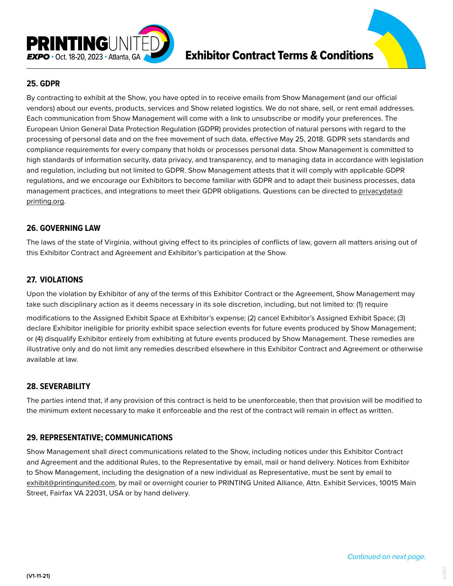

## **25. GDPR**

By contracting to exhibit at the Show, you have opted in to receive emails from Show Management (and our official vendors) about our events, products, services and Show related logistics. We do not share, sell, or rent email addresses. Each communication from Show Management will come with a link to unsubscribe or modify your preferences. The European Union General Data Protection Regulation (GDPR) provides protection of natural persons with regard to the processing of personal data and on the free movement of such data, effective May 25, 2018. GDPR sets standards and compliance requirements for every company that holds or processes personal data. Show Management is committed to high standards of information security, data privacy, and transparency, and to managing data in accordance with legislation and regulation, including but not limited to GDPR. Show Management attests that it will comply with applicable GDPR regulations, and we encourage our Exhibitors to become familiar with GDPR and to adapt their business processes, data management practices, and integrations to meet their GDPR obligations. Questions can be directed to privacydata@ printing.org.

### **26. GOVERNING LAW**

The laws of the state of Virginia, without giving effect to its principles of conflicts of law, govern all matters arising out of this Exhibitor Contract and Agreement and Exhibitor's participation at the Show.

### **27. VIOLATIONS**

Upon the violation by Exhibitor of any of the terms of this Exhibitor Contract or the Agreement, Show Management may take such disciplinary action as it deems necessary in its sole discretion, including, but not limited to: (1) require

modifications to the Assigned Exhibit Space at Exhibitor's expense; (2) cancel Exhibitor's Assigned Exhibit Space; (3) declare Exhibitor ineligible for priority exhibit space selection events for future events produced by Show Management; or (4) disqualify Exhibitor entirely from exhibiting at future events produced by Show Management. These remedies are illustrative only and do not limit any remedies described elsewhere in this Exhibitor Contract and Agreement or otherwise available at law.

#### **28. SEVERABILITY**

The parties intend that, if any provision of this contract is held to be unenforceable, then that provision will be modified to the minimum extent necessary to make it enforceable and the rest of the contract will remain in effect as written.

#### **29. REPRESENTATIVE; COMMUNICATIONS**

Show Management shall direct communications related to the Show, including notices under this Exhibitor Contract and Agreement and the additional Rules, to the Representative by email, mail or hand delivery. Notices from Exhibitor to Show Management, including the designation of a new individual as Representative, must be sent by email to exhibit@printingunited.com, by mail or overnight courier to PRINTING United Alliance, Attn. Exhibit Services, 10015 Main Street, Fairfax VA 22031, USA or by hand delivery.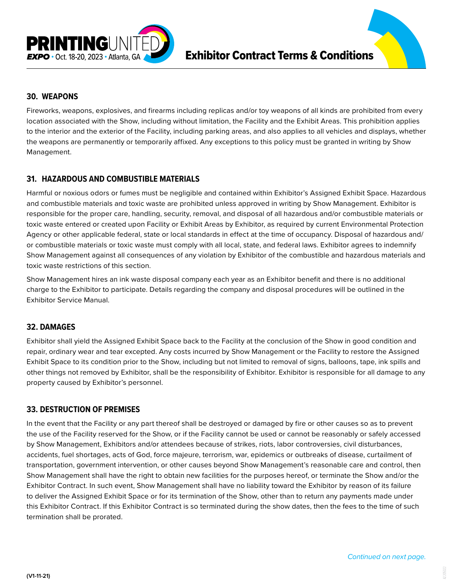

### **30. WEAPONS**

Fireworks, weapons, explosives, and firearms including replicas and/or toy weapons of all kinds are prohibited from every location associated with the Show, including without limitation, the Facility and the Exhibit Areas. This prohibition applies to the interior and the exterior of the Facility, including parking areas, and also applies to all vehicles and displays, whether the weapons are permanently or temporarily affixed. Any exceptions to this policy must be granted in writing by Show Management.

## **31. HAZARDOUS AND COMBUSTIBLE MATERIALS**

Harmful or noxious odors or fumes must be negligible and contained within Exhibitor's Assigned Exhibit Space. Hazardous and combustible materials and toxic waste are prohibited unless approved in writing by Show Management. Exhibitor is responsible for the proper care, handling, security, removal, and disposal of all hazardous and/or combustible materials or toxic waste entered or created upon Facility or Exhibit Areas by Exhibitor, as required by current Environmental Protection Agency or other applicable federal, state or local standards in effect at the time of occupancy. Disposal of hazardous and/ or combustible materials or toxic waste must comply with all local, state, and federal laws. Exhibitor agrees to indemnify Show Management against all consequences of any violation by Exhibitor of the combustible and hazardous materials and toxic waste restrictions of this section.

Show Management hires an ink waste disposal company each year as an Exhibitor benefit and there is no additional charge to the Exhibitor to participate. Details regarding the company and disposal procedures will be outlined in the Exhibitor Service Manual.

#### **32. DAMAGES**

Exhibitor shall yield the Assigned Exhibit Space back to the Facility at the conclusion of the Show in good condition and repair, ordinary wear and tear excepted. Any costs incurred by Show Management or the Facility to restore the Assigned Exhibit Space to its condition prior to the Show, including but not limited to removal of signs, balloons, tape, ink spills and other things not removed by Exhibitor, shall be the responsibility of Exhibitor. Exhibitor is responsible for all damage to any property caused by Exhibitor's personnel.

#### **33. DESTRUCTION OF PREMISES**

In the event that the Facility or any part thereof shall be destroyed or damaged by fire or other causes so as to prevent the use of the Facility reserved for the Show, or if the Facility cannot be used or cannot be reasonably or safely accessed by Show Management, Exhibitors and/or attendees because of strikes, riots, labor controversies, civil disturbances, accidents, fuel shortages, acts of God, force majeure, terrorism, war, epidemics or outbreaks of disease, curtailment of transportation, government intervention, or other causes beyond Show Management's reasonable care and control, then Show Management shall have the right to obtain new facilities for the purposes hereof, or terminate the Show and/or the Exhibitor Contract. In such event, Show Management shall have no liability toward the Exhibitor by reason of its failure to deliver the Assigned Exhibit Space or for its termination of the Show, other than to return any payments made under this Exhibitor Contract. If this Exhibitor Contract is so terminated during the show dates, then the fees to the time of such termination shall be prorated.